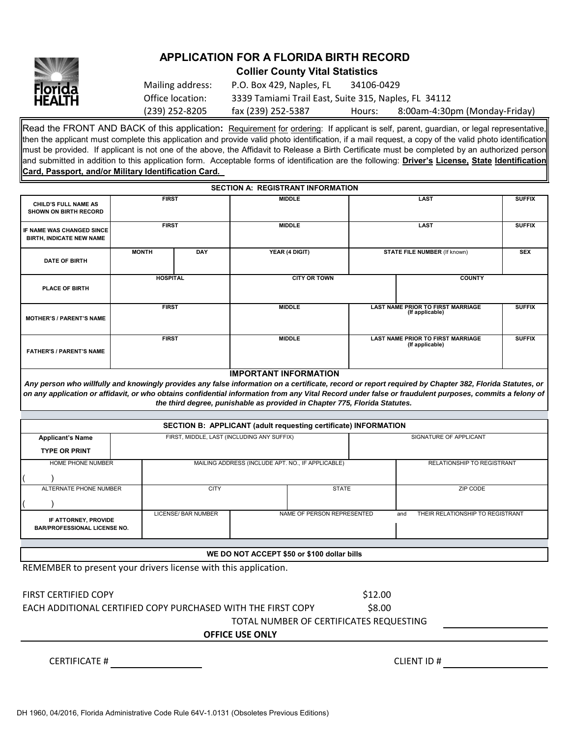

## **APPLICATION FOR A FLORIDA BIRTH RECORD**

**Collier County Vital Statistics**

| Mailing address: | P.O. Box 429, Naples, FL                             | 34106-0429 |                               |
|------------------|------------------------------------------------------|------------|-------------------------------|
| Office location: | 3339 Tamiami Trail East, Suite 315, Naples, FL 34112 |            |                               |
| (239) 252-8205   | fax (239) 252-5387                                   | Hours:     | 8:00am-4:30pm (Monday-Friday) |

Read the FRONT AND BACK of this application**:** Requirement for ordering: If applicant is self, parent, guardian, or legal representative, then the applicant must complete this application and provide valid photo identification, if a mail request, a copy of the valid photo identification must be provided. If applicant is not one of the above, the Affidavit to Release a Birth Certificate must be completed by an authorized person and submitted in addition to this application form. Acceptable forms of identification are the following: **Driver's License, State Identification Card, Passport, and/or Military Identification Card.** 

|                                                                     |                 |            | <b>SECTION A: REGISTRANT INFORMATION</b> |                                                             |               |               |
|---------------------------------------------------------------------|-----------------|------------|------------------------------------------|-------------------------------------------------------------|---------------|---------------|
| CHILD'S FULL NAME AS<br><b>SHOWN ON BIRTH RECORD</b>                | <b>FIRST</b>    |            | <b>MIDDLE</b>                            |                                                             | <b>LAST</b>   | <b>SUFFIX</b> |
| <b>IF NAME WAS CHANGED SINCE</b><br><b>BIRTH, INDICATE NEW NAME</b> | <b>FIRST</b>    |            | <b>MIDDLE</b>                            |                                                             | <b>LAST</b>   | <b>SUFFIX</b> |
| DATE OF BIRTH                                                       | <b>MONTH</b>    | <b>DAY</b> | YEAR (4 DIGIT)                           | <b>STATE FILE NUMBER (If known)</b>                         |               | <b>SEX</b>    |
| PLACE OF BIRTH                                                      | <b>HOSPITAL</b> |            | <b>CITY OR TOWN</b>                      |                                                             | <b>COUNTY</b> |               |
| <b>MOTHER'S / PARENT'S NAME</b>                                     | <b>FIRST</b>    |            | <b>MIDDLE</b>                            | <b>LAST NAME PRIOR TO FIRST MARRIAGE</b><br>(If applicable) |               | <b>SUFFIX</b> |
| <b>FATHER'S / PARENT'S NAME</b>                                     | <b>FIRST</b>    |            | <b>MIDDLE</b>                            | <b>LAST NAME PRIOR TO FIRST MARRIAGE</b><br>(If applicable) |               | <b>SUFFIX</b> |
|                                                                     |                 |            | <b>IMPORTANT INFORMATION</b>             |                                                             |               |               |

*Any person who willfully and knowingly provides any false information on a certificate, record or report required by Chapter 382, Florida Statutes, or on any application or affidavit, or who obtains confidential information from any Vital Record under false or fraudulent purposes, commits a felony of the third degree, punishable as provided in Chapter 775, Florida Statutes.*

| <b>SECTION B: APPLICANT (adult requesting certificate) INFORMATION</b>                                                                                      |                                            |             |                                                   |  |  |                                   |  |  |
|-------------------------------------------------------------------------------------------------------------------------------------------------------------|--------------------------------------------|-------------|---------------------------------------------------|--|--|-----------------------------------|--|--|
| <b>Applicant's Name</b>                                                                                                                                     | FIRST, MIDDLE, LAST (INCLUDING ANY SUFFIX) |             |                                                   |  |  | SIGNATURE OF APPLICANT            |  |  |
| <b>TYPE OR PRINT</b>                                                                                                                                        |                                            |             |                                                   |  |  |                                   |  |  |
| HOME PHONE NUMBER                                                                                                                                           |                                            |             | MAILING ADDRESS (INCLUDE APT. NO., IF APPLICABLE) |  |  | <b>RELATIONSHIP TO REGISTRANT</b> |  |  |
|                                                                                                                                                             |                                            |             |                                                   |  |  |                                   |  |  |
| ALTERNATE PHONE NUMBER                                                                                                                                      |                                            | <b>CITY</b> | <b>STATE</b>                                      |  |  | ZIP CODE                          |  |  |
|                                                                                                                                                             |                                            |             |                                                   |  |  |                                   |  |  |
| NAME OF PERSON REPRESENTED<br>THEIR RELATIONSHIP TO REGISTRANT<br>LICENSE/ BAR NUMBER<br>and<br>IF ATTORNEY, PROVIDE<br><b>BAR/PROFESSIONAL LICENSE NO.</b> |                                            |             |                                                   |  |  |                                   |  |  |
|                                                                                                                                                             |                                            |             |                                                   |  |  |                                   |  |  |
| WE DO NOT ACCEPT \$50 or \$100 dollar bills                                                                                                                 |                                            |             |                                                   |  |  |                                   |  |  |

REMEMBER to present your drivers license with this application.

| <b>FIRST CERTIFIED COPY</b>                                  | \$12.00                                 |  |
|--------------------------------------------------------------|-----------------------------------------|--|
| EACH ADDITIONAL CERTIFIED COPY PURCHASED WITH THE FIRST COPY | \$8.00                                  |  |
|                                                              | TOTAL NUMBER OF CERTIFICATES REQUESTING |  |
| <b>OFFICE USE ONLY</b>                                       |                                         |  |
|                                                              |                                         |  |
| <b>CERTIFICATE #</b>                                         | CLIENT ID#                              |  |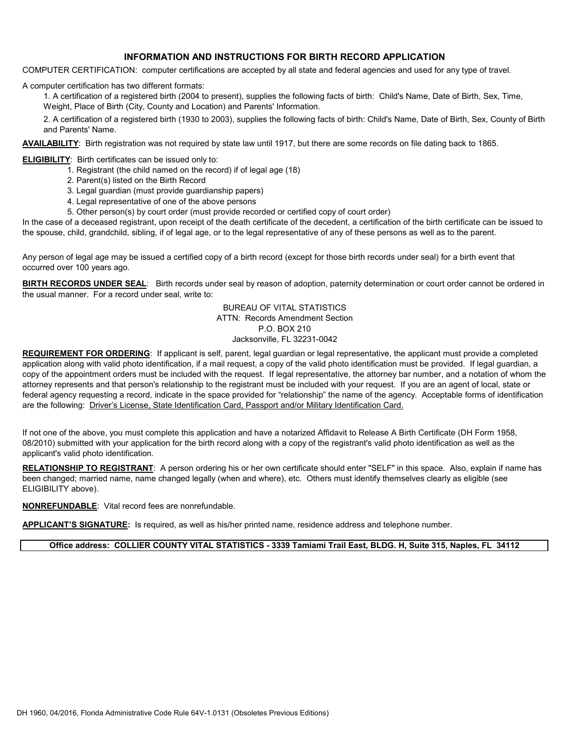## **INFORMATION AND INSTRUCTIONS FOR BIRTH RECORD APPLICATION**

COMPUTER CERTIFICATION: computer certifications are accepted by all state and federal agencies and used for any type of travel.

A computer certification has two different formats:

1. A certification of a registered birth (2004 to present), supplies the following facts of birth: Child's Name, Date of Birth, Sex, Time, Weight, Place of Birth (City, County and Location) and Parents' Information.

2. A certification of a registered birth (1930 to 2003), supplies the following facts of birth: Child's Name, Date of Birth, Sex, County of Birth and Parents' Name.

**AVAILABILITY**: Birth registration was not required by state law until 1917, but there are some records on file dating back to 1865.

#### **ELIGIBILITY:** Birth certificates can be issued only to:

- 1. Registrant (the child named on the record) if of legal age (18)
- 2. Parent(s) listed on the Birth Record
- 3. Legal guardian (must provide guardianship papers)
- 4. Legal representative of one of the above persons
- 5. Other person(s) by court order (must provide recorded or certified copy of court order)

In the case of a deceased registrant, upon receipt of the death certificate of the decedent, a certification of the birth certificate can be issued to the spouse, child, grandchild, sibling, if of legal age, or to the legal representative of any of these persons as well as to the parent.

Any person of legal age may be issued a certified copy of a birth record (except for those birth records under seal) for a birth event that occurred over 100 years ago.

**BIRTH RECORDS UNDER SEAL**: Birth records under seal by reason of adoption, paternity determination or court order cannot be ordered in the usual manner. For a record under seal, write to:

> BUREAU OF VITAL STATISTICS ATTN: Records Amendment Section P.O. BOX 210 Jacksonville, FL 32231-0042

**REQUIREMENT FOR ORDERING**: If applicant is self, parent, legal guardian or legal representative, the applicant must provide a completed application along with valid photo identification, if a mail request, a copy of the valid photo identification must be provided. If legal guardian, a copy of the appointment orders must be included with the request. If legal representative, the attorney bar number, and a notation of whom the attorney represents and that person's relationship to the registrant must be included with your request. If you are an agent of local, state or federal agency requesting a record, indicate in the space provided for "relationship" the name of the agency. Acceptable forms of identification are the following: Driver's License, State Identification Card, Passport and/or Military Identification Card.

If not one of the above, you must complete this application and have a notarized Affidavit to Release A Birth Certificate (DH Form 1958, 08/2010) submitted with your application for the birth record along with a copy of the registrant's valid photo identification as well as the applicant's valid photo identification.

**RELATIONSHIP TO REGISTRANT**: A person ordering his or her own certificate should enter "SELF" in this space. Also, explain if name has been changed; married name, name changed legally (when and where), etc. Others must identify themselves clearly as eligible (see ELIGIBILITY above).

**NONREFUNDABLE**: Vital record fees are nonrefundable.

**APPLICANT'S SIGNATURE:** Is required, as well as his/her printed name, residence address and telephone number.

#### **Office address: COLLIER COUNTY VITAL STATISTICS - 3339 Tamiami Trail East, BLDG. H, Suite 315, Naples, FL 34112**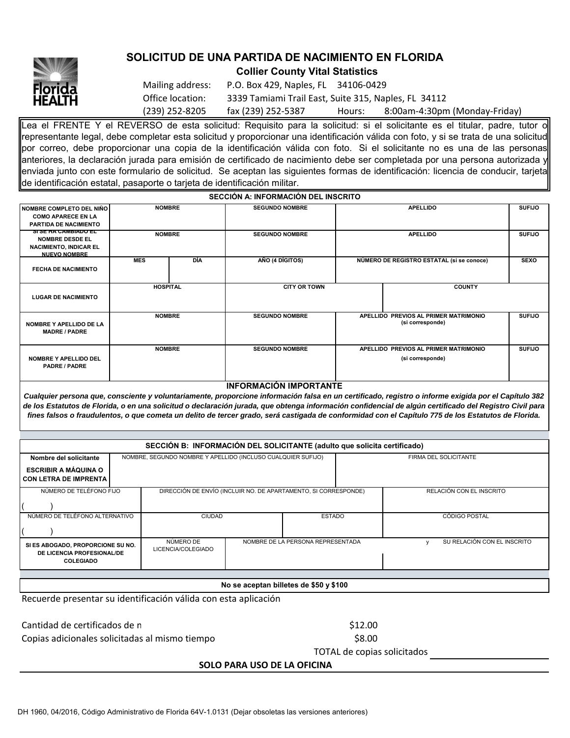

# **SOLICITUD DE UNA PARTIDA DE NACIMIENTO EN FLORIDA**

**Collier County Vital Statistics**

| Mailing address: | P.O. Box 429, Naples, FL 34106-0429                  |        |                               |
|------------------|------------------------------------------------------|--------|-------------------------------|
| Office location: | 3339 Tamiami Trail East, Suite 315, Naples, FL 34112 |        |                               |
| (239) 252-8205   | fax (239) 252-5387                                   | Hours: | 8:00am-4:30pm (Monday-Friday) |

Lea el FRENTE Y el REVERSO de esta solicitud: Requisito para la solicitud: si el solicitante es el titular, padre, tutor o representante legal, debe completar esta solicitud y proporcionar una identificación válida con foto, y si se trata de una solicitud por correo, debe proporcionar una copia de la identificación válida con foto. Si el solicitante no es una de las personas anteriores, la declaración jurada para emisión de certificado de nacimiento debe ser completada por una persona autorizada y enviada junto con este formulario de solicitud. Se aceptan las siguientes formas de identificación: licencia de conducir, tarjeta de identificación estatal, pasaporte o tarjeta de identificación militar.

**SECCIÓN A: INFORMACIÓN DEL INSCRITO**

| NOMBRE COMPLETO DEL NIÑO<br><b>COMO APARECE EN LA</b><br>PARTIDA DE NACIMIENTO                             | <b>NOMBRE</b>   |     | <b>SEGUNDO NOMBRE</b>         | <b>APELLIDO</b>                                           |                                                                                                                                                    | <b>SUFIJO</b> |
|------------------------------------------------------------------------------------------------------------|-----------------|-----|-------------------------------|-----------------------------------------------------------|----------------------------------------------------------------------------------------------------------------------------------------------------|---------------|
| <u>ЭГЭГЛА САМЫАЛО ЕГ</u><br><b>NOMBRE DESDE EL</b><br><b>NACIMIENTO, INDICAR EL</b><br><b>NUEVO NOMBRE</b> | <b>NOMBRE</b>   |     | <b>SEGUNDO NOMBRE</b>         | <b>APELLIDO</b>                                           |                                                                                                                                                    | <b>SUFIJO</b> |
| <b>FECHA DE NACIMIENTO</b>                                                                                 | <b>MES</b>      | DÍA | AÑO (4 DÍGITOS)               | NÚMERO DE REGISTRO ESTATAL (si se conoce)                 |                                                                                                                                                    | <b>SEXO</b>   |
| <b>LUGAR DE NACIMIENTO</b>                                                                                 | <b>HOSPITAL</b> |     | <b>CITY OR TOWN</b>           | <b>COUNTY</b>                                             |                                                                                                                                                    |               |
| NOMBRE Y APELLIDO DE LA<br><b>MADRE / PADRE</b>                                                            | <b>NOMBRE</b>   |     | <b>SEGUNDO NOMBRE</b>         | APELLIDO PREVIOS AL PRIMER MATRIMONIO<br>(si corresponde) |                                                                                                                                                    | <b>SUFIJO</b> |
| <b>NOMBRE Y APELLIDO DEL</b><br>PADRE / PADRE                                                              | <b>NOMBRE</b>   |     | <b>SEGUNDO NOMBRE</b>         | APELLIDO PREVIOS AL PRIMER MATRIMONIO<br>(si corresponde) |                                                                                                                                                    | <b>SUFIJO</b> |
|                                                                                                            |                 |     | <b>INFORMACIÓN IMPORTANTE</b> |                                                           |                                                                                                                                                    |               |
|                                                                                                            |                 |     |                               |                                                           | Cualquier persona que consciente y voluntariamente proporcione información falsa en un certificado, registro o informe exigida por el Capítulo 382 |               |

*Cualquier persona que, consciente y voluntariamente, proporcione información falsa en un certificado, registro o informe exigida por el Capítulo 382 de los Estatutos de Florida, o en una solicitud o declaración jurada, que obtenga información confidencial de algún certificado del Registro Civil para fines falsos o fraudulentos, o que cometa un delito de tercer grado, será castigada de conformidad con el Capítulo 775 de los Estatutos de Florida.*

| SECCIÓN B: INFORMACIÓN DEL SOLICITANTE (adulto que solicita certificado)            |  |                                                                 |                                   |  |                       |                             |                          |  |
|-------------------------------------------------------------------------------------|--|-----------------------------------------------------------------|-----------------------------------|--|-----------------------|-----------------------------|--------------------------|--|
| Nombre del solicitante                                                              |  | NOMBRE, SEGUNDO NOMBRE Y APELLIDO (INCLUSO CUALQUIER SUFIJO)    |                                   |  | FIRMA DEL SOLICITANTE |                             |                          |  |
| <b>ESCRIBIR A MÁQUINA O</b>                                                         |  |                                                                 |                                   |  |                       |                             |                          |  |
| CON LETRA DE IMPRENTA                                                               |  |                                                                 |                                   |  |                       |                             |                          |  |
| NÚMERO DE TELÉFONO FIJO                                                             |  | DIRECCIÓN DE ENVÍO (INCLUIR NO. DE APARTAMENTO, SI CORRESPONDE) |                                   |  |                       |                             | RELACIÓN CON EL INSCRITO |  |
|                                                                                     |  |                                                                 |                                   |  |                       |                             |                          |  |
| NÚMERO DE TELÉFONO ALTERNATIVO                                                      |  | <b>CIUDAD</b><br><b>ESTADO</b>                                  |                                   |  | <b>CÓDIGO POSTAL</b>  |                             |                          |  |
|                                                                                     |  |                                                                 |                                   |  |                       |                             |                          |  |
| SI ES ABOGADO, PROPORCIONE SU NO.<br>DE LICENCIA PROFESIONAL/DE<br><b>COLEGIADO</b> |  | NÚMERO DE<br>LICENCIA/COLEGIADO                                 | NOMBRE DE LA PERSONA REPRESENTADA |  |                       | SU RELACIÓN CON EL INSCRITO |                          |  |
|                                                                                     |  |                                                                 |                                   |  |                       |                             |                          |  |
| No se aceptan billetes de \$50 y \$100                                              |  |                                                                 |                                   |  |                       |                             |                          |  |

Recuerde presentar su identificación válida con esta aplicación

Cantidad de certificados de n  $$12.00$ Copias adicionales solicitadas al mismo tiempo \$8.00

TOTAL de copias solicitados

**SOLO PARA USO DE LA OFICINA**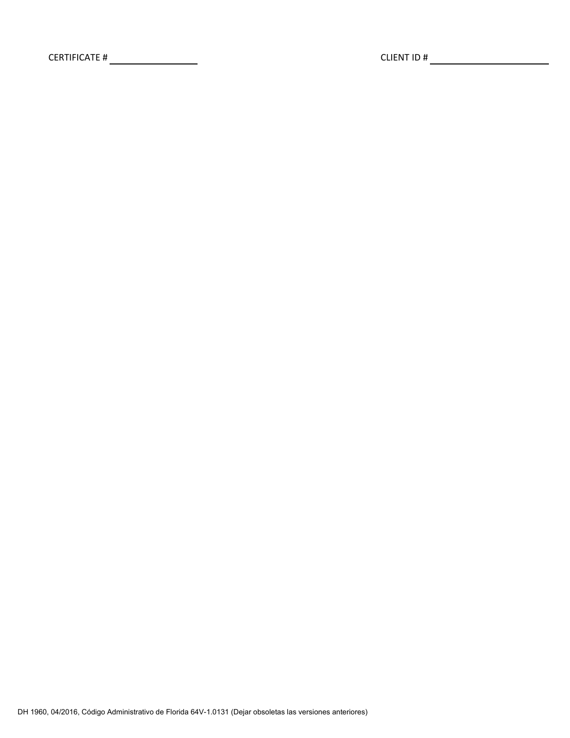CERTIFICATE # CLIENT ID #